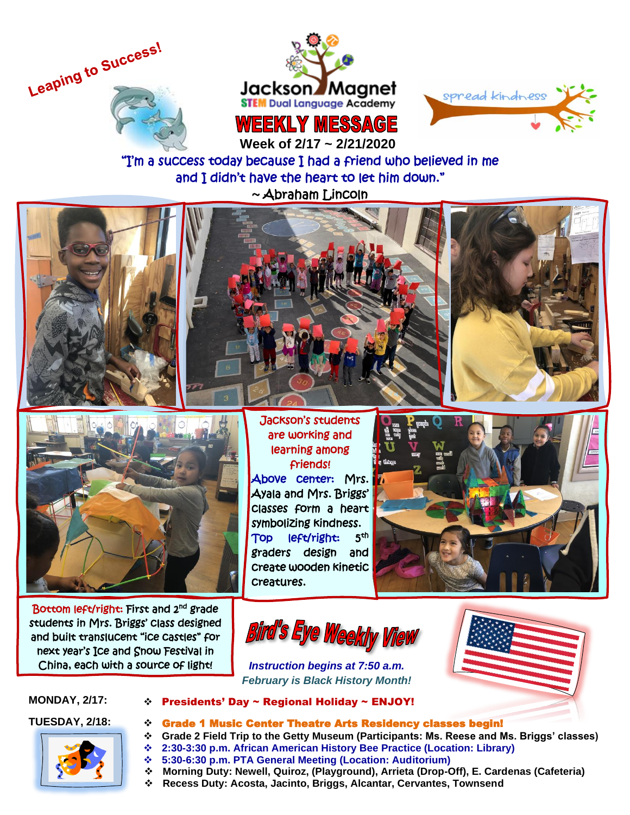





 **Week of 2/17 ~ 2/21/2020**

"I'm a success today because I had a friend who believed in me and I didn't have the heart to let him down." ~ Abraham Lincoln









Bottom left/right: First and 2<sup>nd</sup> grade students in Mrs. Briggs' class designed and built translucent "ice castles" for next year's Ice and Snow Festival in China, each with a source of light!

 learning among Jackson's students are working and friends! Above center: Mrs. Ayala and Mrs. Briggs' classes form a heart symbolizing kindness. Top left/right: th graders design and create wooden kinetic creatures.



**Bird's Eye Weekly View** 







**MONDAY, 2/17:** ❖ Presidents' Day ~ Regional Holiday ~ ENJOY!

# **TUESDAY, 2/18:** ❖ Grade 1 Music Center Theatre Arts Residency classes begin!

- ❖ **Grade 2 Field Trip to the Getty Museum (Participants: Ms. Reese and Ms. Briggs' classes)**
- ❖ **2:30-3:30 p.m. African American History Bee Practice (Location: Library)**
- ❖ **5:30-6:30 p.m. PTA General Meeting (Location: Auditorium)**
- ❖ **Morning Duty: Newell, Quiroz, (Playground), Arrieta (Drop-Off), E. Cardenas (Cafeteria)**
- ❖ **Recess Duty: Acosta, Jacinto, Briggs, Alcantar, Cervantes, Townsend**